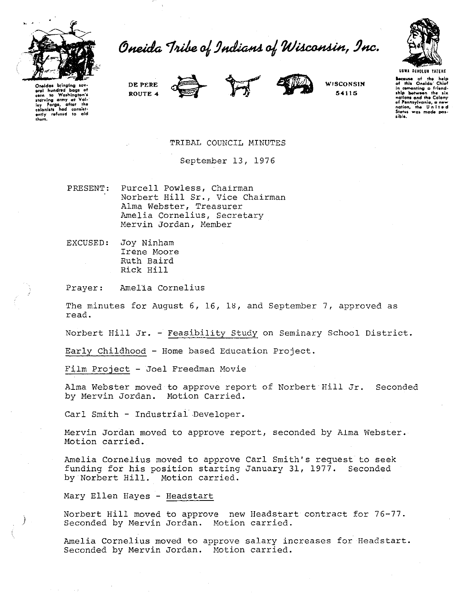

Oneida Tribe of Indians of Wisconsin, Inc.



Because of the help of this Onelda' Chief<br>in cementing a friend-<br>ship between the six<br>nations and the Colony

of Pennsylvania, a new<br>nation, the United<br>States was made pos-

sink.

Oneidas bringina aral hundred bags a aral hundred bags of<br>term in Washington's<br>starving army at Val-<br>ley forge, after the<br>colonists had consist-<br>ently refused to ald<br>them. DE PERE ROUTE 4



**WISCONSIN** 54115

TRIBAL COUNCIL MINUTES

September 13, 1976

PRESENT: Purcell Powless, Chairman Norbert Hill Sr., Vice Chairman Alma Webster, Treasurer Amelia Cornelius, Secretary Mervin Jordan, Member

EXCUSED: Joy Ninham Irene Moore Ruth Baird Rick Hill

Amelia Cornelius Prayer:

The minutes for August 6, 16, 18, and September 7, approved as read.

Norbert Hill Jr. - Feasibility Study on Seminary School District.

Early Childhood - Home based Education Project.

Film Project - Joel Freedman Movie

Alma Webster moved to approve report of Norbert Hill Jr. Seconded by Mervin Jordan. Motion Carried.

Carl Smith - Industrial Developer.

Mervin Jordan moved to approve report, seconded by Alma Webster. Motion carried.

Amelia Cornelius moved to approve Carl Smith's request to seek funding for his position starting January 31, 1977. Seconded by Norbert Hill. Motion carried.

Mary Ellen Hayes - Headstart

Norbert Hill moved to approve new Headstart contract for 76-77. Seconded by Mervin Jordan. Motion carried.

Amelia Cornelius moved to approve salary increases for Headstart. Seconded by Mervin Jordan. Motion carried.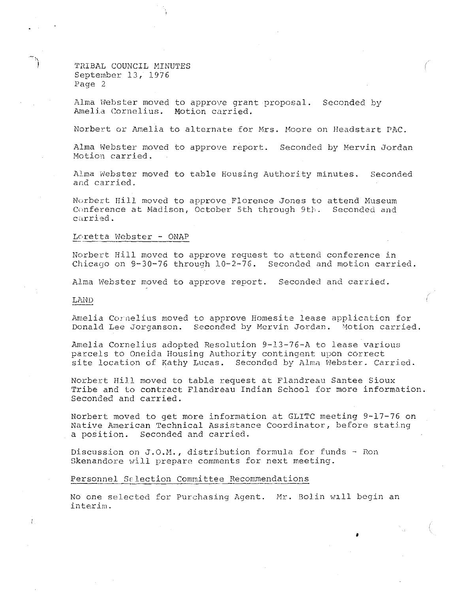TRIBAL COUNCIL MINUTES September 13, 1976 Page 2

Alma lvebster moved to approve grant proposal. Seconded by Amelia Cornelius. Motion carried.

Norbert or Amelia to alternate for Mrs. Hoore on Headstart PhC.

Alma Webster moved to approve report. Seconded by Mervin Jordan Motion carried.

Alma Webster moved to table Housing Authority minutes. Seconded and carried.

Norbert Hill moved to approve Florence Jones to attend Museum<br>Conference at Madison, October 5th through 9th. Seconded and Conference at Madison, October 5th through 9th. carried.

## Lc,retta Webster - ONAP

Norbert Hill moved to approve request to attend conference in Chicago on 9-30-76 through 10-2-76. Seconded and motion carried.

Alma Webster moved to approve report. Seconded and carried.

## LAND

Amelia Cornelius moved to approve Homesite lease application for Donald Lee Jorganson. Seconded by Mervin Jordan. Motion carried.

Amelia Cornelius adopted Resolution 9-13-76-A to lease various parcels to Oneida Housing Authority contingent upon correct site location of Kathy Lucas. Seconded by Alma Webster. Carried.

Norbert Hill moved to table request at Flandreau Santee Sioux Tribe and to contract Flandreau Indian School for more information. Seconded and carried.

Norbert moved to get more information at GLITC meeting 9-17-76 on Native American Technical Assistance Coordinator, before stating a position. Seconded and carried.

Discussion on J.O.M., distribution formula for funds- Ron Skenandore will prepare comments for next meeting.

## Personnel Selection Committee Recommendations

No one selected for Purchasing Agent. Mr. Bolin w1ll begin an **interim.** 

•